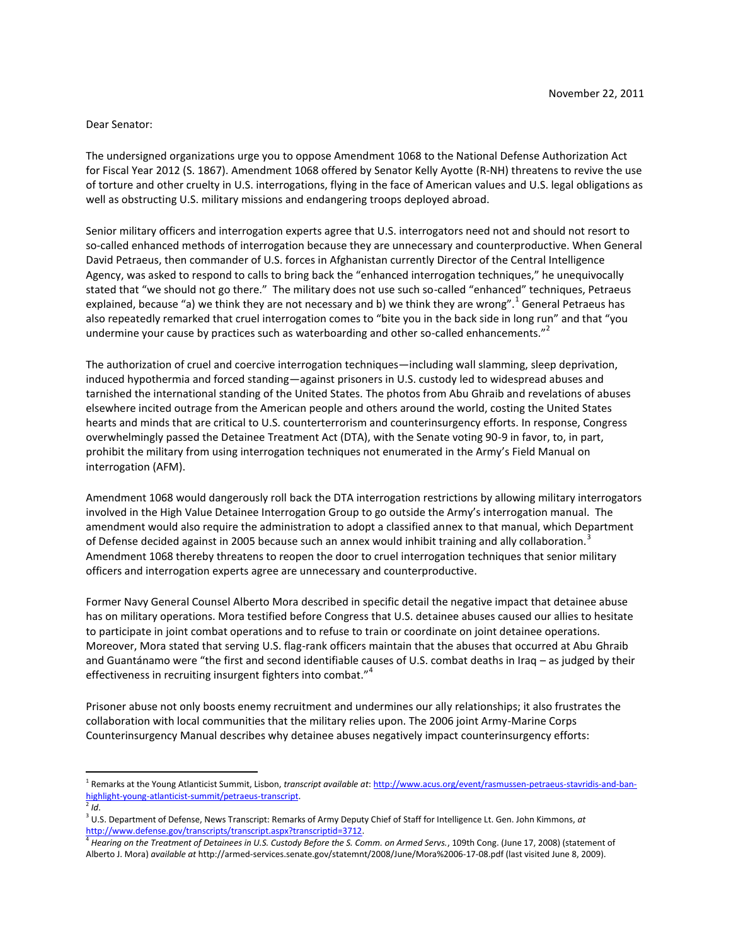## Dear Senator:

The undersigned organizations urge you to oppose Amendment 1068 to the National Defense Authorization Act for Fiscal Year 2012 (S. 1867). Amendment 1068 offered by Senator Kelly Ayotte (R-NH) threatens to revive the use of torture and other cruelty in U.S. interrogations, flying in the face of American values and U.S. legal obligations as well as obstructing U.S. military missions and endangering troops deployed abroad.

Senior military officers and interrogation experts agree that U.S. interrogators need not and should not resort to so-called enhanced methods of interrogation because they are unnecessary and counterproductive. When General David Petraeus, then commander of U.S. forces in Afghanistan currently Director of the Central Intelligence Agency, was asked to respond to calls to bring back the "enhanced interrogation techniques," he unequivocally stated that "we should not go there." The military does not use such so-called "enhanced" techniques, Petraeus explained, because "a) we think they are not necessary and b) we think they are wrong".<sup>1</sup> General Petraeus has also repeatedly remarked that cruel interrogation comes to "bite you in the back side in long run" and that "you undermine your cause by practices such as waterboarding and other so-called enhancements."<sup>2</sup>

The authorization of cruel and coercive interrogation techniques—including wall slamming, sleep deprivation, induced hypothermia and forced standing—against prisoners in U.S. custody led to widespread abuses and tarnished the international standing of the United States. The photos from Abu Ghraib and revelations of abuses elsewhere incited outrage from the American people and others around the world, costing the United States hearts and minds that are critical to U.S. counterterrorism and counterinsurgency efforts. In response, Congress overwhelmingly passed the Detainee Treatment Act (DTA), with the Senate voting 90-9 in favor, to, in part, prohibit the military from using interrogation techniques not enumerated in the Army's Field Manual on interrogation (AFM).

Amendment 1068 would dangerously roll back the DTA interrogation restrictions by allowing military interrogators involved in the High Value Detainee Interrogation Group to go outside the Army's interrogation manual. The amendment would also require the administration to adopt a classified annex to that manual, which Department of Defense decided against in 2005 because such an annex would inhibit training and ally collaboration.<sup>3</sup> Amendment 1068 thereby threatens to reopen the door to cruel interrogation techniques that senior military officers and interrogation experts agree are unnecessary and counterproductive.

Former Navy General Counsel Alberto Mora described in specific detail the negative impact that detainee abuse has on military operations. Mora testified before Congress that U.S. detainee abuses caused our allies to hesitate to participate in joint combat operations and to refuse to train or coordinate on joint detainee operations. Moreover, Mora stated that serving U.S. flag-rank officers maintain that the abuses that occurred at Abu Ghraib and Guantánamo were "the first and second identifiable causes of U.S. combat deaths in Iraq – as judged by their effectiveness in recruiting insurgent fighters into combat."<sup>4</sup>

Prisoner abuse not only boosts enemy recruitment and undermines our ally relationships; it also frustrates the collaboration with local communities that the military relies upon. The 2006 joint Army-Marine Corps Counterinsurgency Manual describes why detainee abuses negatively impact counterinsurgency efforts:

 $\overline{\phantom{a}}$ 

<sup>1</sup> Remarks at the Young Atlanticist Summit, Lisbon, *transcript available at*: [http://www.acus.org/event/rasmussen-petraeus-stavridis-and-ban](http://www.acus.org/event/rasmussen-petraeus-stavridis-and-ban-highlight-young-atlanticist-summit/petraeus-transcript)[highlight-young-atlanticist-summit/petraeus-transcript.](http://www.acus.org/event/rasmussen-petraeus-stavridis-and-ban-highlight-young-atlanticist-summit/petraeus-transcript)

<sup>2</sup> *Id*.

<sup>3</sup> U.S. Department of Defense, News Transcript: Remarks of Army Deputy Chief of Staff for Intelligence Lt. Gen. John Kimmons, *at*  http://www.defense.gov/transcripts/transcript.aspx?transcriptid=3712.

<sup>4</sup> *Hearing on the Treatment of Detainees in U.S. Custody Before the S. Comm. on Armed Servs.*, 109th Cong. (June 17, 2008) (statement of Alberto J. Mora) *available at* http://armed-services.senate.gov/statemnt/2008/June/Mora%2006-17-08.pdf (last visited June 8, 2009).